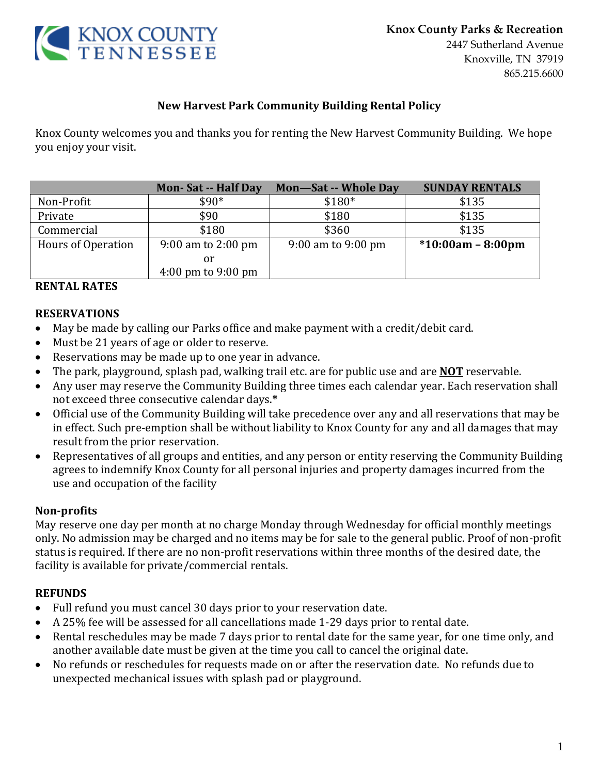

#### **New Harvest Park Community Building Rental Policy**

Knox County welcomes you and thanks you for renting the New Harvest Community Building. We hope you enjoy your visit.

|                    | <b>Mon-Sat -- Half Day</b>             | Mon-Sat -- Whole Day | <b>SUNDAY RENTALS</b> |
|--------------------|----------------------------------------|----------------------|-----------------------|
| Non-Profit         | $$90*$                                 | $$180*$              | \$135                 |
| Private            | \$90                                   | \$180                | \$135                 |
| Commercial         | \$180                                  | \$360                | \$135                 |
| Hours of Operation | 9:00 am to $2:00 \text{ pm}$           | 9:00 am to 9:00 pm   | $*10:00am - 8:00pm$   |
|                    | or                                     |                      |                       |
|                    | $4:00 \text{ pm}$ to $9:00 \text{ pm}$ |                      |                       |

#### **RENTAL RATES**

#### **RESERVATIONS**

- May be made by calling our Parks office and make payment with a credit/debit card.
- Must be 21 years of age or older to reserve.
- Reservations may be made up to one year in advance.
- The park, playground, splash pad, walking trail etc. are for public use and are **NOT** reservable.
- Any user may reserve the Community Building three times each calendar year. Each reservation shall not exceed three consecutive calendar days.**\***
- Official use of the Community Building will take precedence over any and all reservations that may be in effect. Such pre-emption shall be without liability to Knox County for any and all damages that may result from the prior reservation.
- Representatives of all groups and entities, and any person or entity reserving the Community Building agrees to indemnify Knox County for all personal injuries and property damages incurred from the use and occupation of the facility

#### **Non-profits**

May reserve one day per month at no charge Monday through Wednesday for official monthly meetings only. No admission may be charged and no items may be for sale to the general public. Proof of non-profit status is required. If there are no non-profit reservations within three months of the desired date, the facility is available for private/commercial rentals.

#### **REFUNDS**

- Full refund you must cancel 30 days prior to your reservation date.
- A 25% fee will be assessed for all cancellations made 1-29 days prior to rental date.
- Rental reschedules may be made 7 days prior to rental date for the same year, for one time only, and another available date must be given at the time you call to cancel the original date.
- No refunds or reschedules for requests made on or after the reservation date. No refunds due to unexpected mechanical issues with splash pad or playground.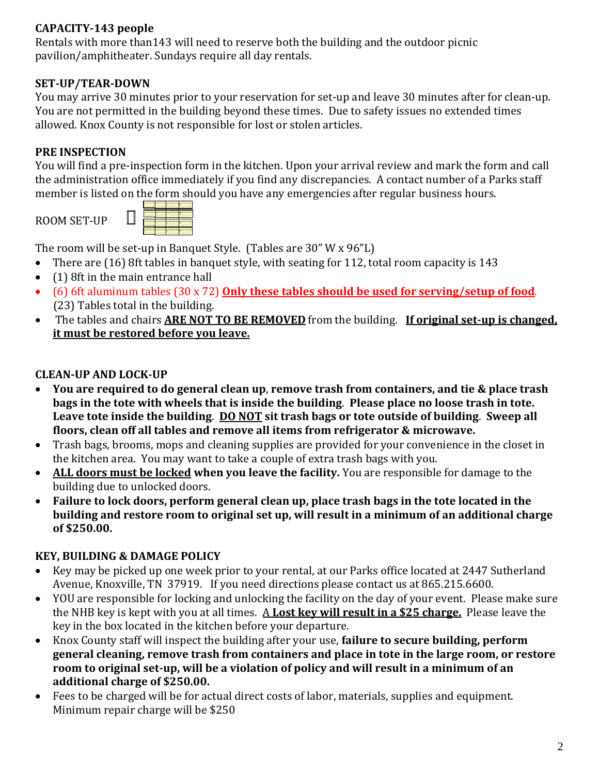# **CAPACITY-143 people**

Rentals with more than143 will need to reserve both the building and the outdoor picnic pavilion/amphitheater. Sundays require all day rentals.

# **SET-UP/TEAR-DOWN**

You may arrive 30 minutes prior to your reservation for set-up and leave 30 minutes after for clean-up. You are not permitted in the building beyond these times. Due to safety issues no extended times allowed. Knox County is not responsible for lost or stolen articles.

# **PRE INSPECTION**

You will find a pre-inspection form in the kitchen. Upon your arrival review and mark the form and call the administration office immediately if you find any discrepancies. A contact number of a Parks staff member is listed on the form should you have any emergencies after regular business hours.

ROOM SET-UP



The room will be set-up in Banquet Style. (Tables are 30" W x 96"L)

- There are (16) 8ft tables in banquet style, with seating for 112, total room capacity is 143
- (1) 8ft in the main entrance hall
- (6) 6ft aluminum tables (30 x 72) **Only these tables should be used for serving/setup of food**. (23) Tables total in the building.
- The tables and chairs **ARE NOT TO BE REMOVED** from the building. **If original set-up is changed, it must be restored before you leave.**

## **CLEAN-UP AND LOCK-UP**

- **You are required to do general clean up**, **remove trash from containers, and tie & place trash bags in the tote with wheels that is inside the building**. **Please place no loose trash in tote. Leave tote inside the building**. **DO NOT sit trash bags or tote outside of building**. **Sweep all floors, clean off all tables and remove all items from refrigerator & microwave.**
- Trash bags, brooms, mops and cleaning supplies are provided for your convenience in the closet in the kitchen area. You may want to take a couple of extra trash bags with you.
- **ALL doors must be locked when you leave the facility.** You are responsible for damage to the building due to unlocked doors.
- **Failure to lock doors, perform general clean up, place trash bags in the tote located in the building and restore room to original set up, will result in a minimum of an additional charge of \$250.00.**

## **KEY, BUILDING & DAMAGE POLICY**

- Key may be picked up one week prior to your rental, at our Parks office located at 2447 Sutherland Avenue, Knoxville, TN 37919. If you need directions please contact us at 865.215.6600.
- YOU are responsible for locking and unlocking the facility on the day of your event. Please make sure the NHB key is kept with you at all times. A **Lost key will result in a \$25 charge.** Please leave the key in the box located in the kitchen before your departure.
- Knox County staff will inspect the building after your use, **failure to secure building, perform general cleaning, remove trash from containers and place in tote in the large room, or restore room to original set-up, will be a violation of policy and will result in a minimum of an additional charge of \$250.00.**
- Fees to be charged will be for actual direct costs of labor, materials, supplies and equipment. Minimum repair charge will be \$250